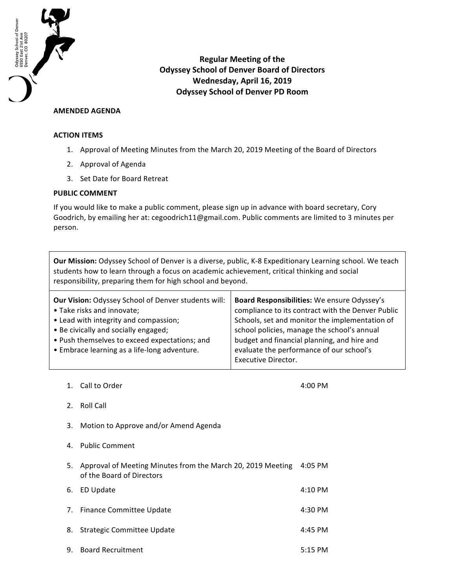

**Regular Meeting of the Odyssey School of Denver Board of Directors Wednesday, April 16, 2019 Odyssey School of Denver PD Room**

## **AMENDED AGENDA**

## **ACTION ITEMS**

- 1. Approval of Meeting Minutes from the March 20, 2019 Meeting of the Board of Directors
- 2. Approval of Agenda
- 3. Set Date for Board Retreat

## **PUBLIC COMMENT**

If you would like to make a public comment, please sign up in advance with board secretary, Cory Goodrich, by emailing her at: cegoodrich11@gmail.com. Public comments are limited to 3 minutes per person.

**Our Mission:** Odyssey School of Denver is a diverse, public, K-8 Expeditionary Learning school. We teach students how to learn through a focus on academic achievement, critical thinking and social responsibility, preparing them for high school and beyond.

| <b>Our Vision: Odyssey School of Denver students will:</b><br>• Take risks and innovate;<br>• Lead with integrity and compassion;     | Board Responsibilities: We ensure Odyssey's<br>compliance to its contract with the Denver Public<br>Schools, set and monitor the implementation of<br>school policies, manage the school's annual<br>budget and financial planning, and hire and<br>evaluate the performance of our school's<br>Executive Director. |  |
|---------------------------------------------------------------------------------------------------------------------------------------|---------------------------------------------------------------------------------------------------------------------------------------------------------------------------------------------------------------------------------------------------------------------------------------------------------------------|--|
| • Be civically and socially engaged;<br>• Push themselves to exceed expectations; and<br>• Embrace learning as a life-long adventure. |                                                                                                                                                                                                                                                                                                                     |  |

1. Call to Order 4:00 PM

- 2. Roll Call
- 3. Motion to Approve and/or Amend Agenda
- 4. Public Comment
- 5. Approval of Meeting Minutes from the March 20, 2019 Meeting 4:05 PM of the Board of Directors 6. ED Update 4:10 PM 7. Finance Committee Update **1998** 4:30 PM 8. Strategic Committee Update **4:45 PM** 9. Board Recruitment **6:200 Seconds** 5:15 PM